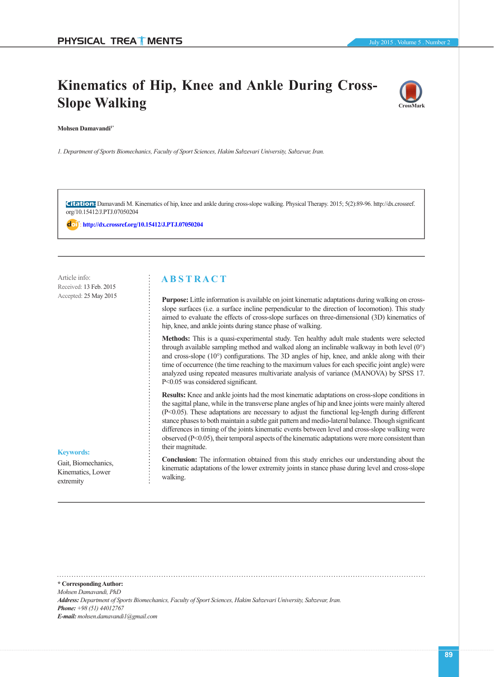# **Kinematics of Hip, Knee and Ankle During Cross-Slope Walking**



**Mohsen Damavandi1\***

*1. Department of Sports Biomechanics, Faculty of Sport Sciences, Hakim Sabzevari University, Sabzevar, Iran.*

**Citation:** Damavandi M. Kinematics of hip, knee and ankle during cross-slope walking. Physical Therapy. 2015; 5(2):89-96. http://dx.crossref. org/10.15412/J.PTJ.07050204

: **<http://dx.crossref.org/10.15412/J.PTJ.07050204>**

Article info: Received: 13 Feb. 2015 Accepted: 25 May 2015

## **A B S T R A C T**

**Purpose:** Little information is available on joint kinematic adaptations during walking on crossslope surfaces (i.e. a surface incline perpendicular to the direction of locomotion). This study aimed to evaluate the effects of cross-slope surfaces on three-dimensional (3D) kinematics of hip, knee, and ankle joints during stance phase of walking.

**Methods:** This is a quasi-experimental study. Ten healthy adult male students were selected through available sampling method and walked along an inclinable walkway in both level (0°) and cross-slope (10°) configurations. The 3D angles of hip, knee, and ankle along with their time of occurrence (the time reaching to the maximum values for each specific joint angle) were analyzed using repeated measures multivariate analysis of variance (MANOVA) by SPSS 17. P<0.05 was considered significant.

**Results:** Knee and ankle joints had the most kinematic adaptations on cross-slope conditions in the sagittal plane, while in the transverse plane angles of hip and knee joints were mainly altered (P<0.05). These adaptations are necessary to adjust the functional leg-length during different stance phases to both maintain a subtle gait pattern and medio-lateral balance. Though significant differences in timing of the joints kinematic events between level and cross-slope walking were observed  $(P< 0.05)$ , their temporal aspects of the kinematic adaptations were more consistent than their magnitude.

**Conclusion:** The information obtained from this study enriches our understanding about the kinematic adaptations of the lower extremity joints in stance phase during level and cross-slope walking.

## **Keywords:**

Gait, Biomechanics, Kinematics, Lower extremity

**\* Corresponding Author:** *Mohsen Damavandi, PhD Address: Department of Sports Biomechanics, Faculty of Sport Sciences, Hakim Sabzevari University, Sabzevar, Iran. Phone: +98 (51) 44012767 E-mail: mohsen.damavandi1@gmail.com*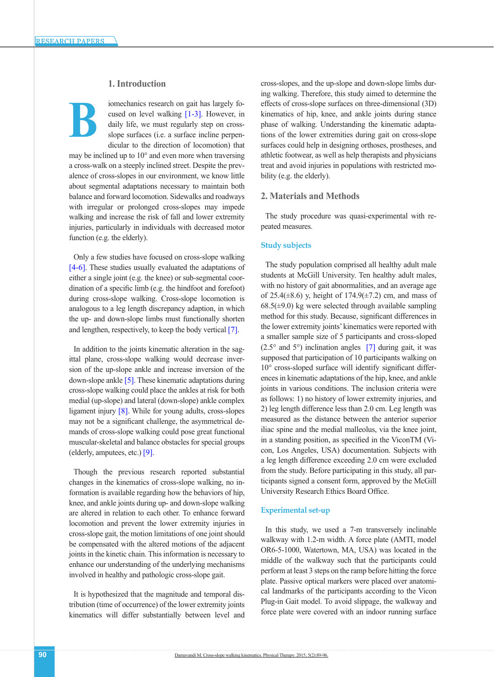# **1. Introduction**

iomechanics research on gait has largely focused on level walking [\[1-3\]](#page-6-0). However, in daily life, we must regularly step on crossslope surfaces (i.e. a surface incline perpendicular to the direction of locomotion) that **B**

may be inclined up to 10° and even more when traversing a cross-walk on a steeply inclined street. Despite the prevalence of cross-slopes in our environment, we know little about segmental adaptations necessary to maintain both balance and forward locomotion. Sidewalks and roadways with irregular or prolonged cross-slopes may impede walking and increase the risk of fall and lower extremity injuries, particularly in individuals with decreased motor function (e.g. the elderly).

Only a few studies have focused on cross-slope walking [\[4-6\]](#page-6-1). These studies usually evaluated the adaptations of either a single joint (e.g. the knee) or sub-segmental coordination of a specific limb (e.g. the hindfoot and forefoot) during cross-slope walking. Cross-slope locomotion is analogous to a leg length discrepancy adaption, in which the up- and down-slope limbs must functionally shorten and lengthen, respectively, to keep the body vertical [\[7\]](#page-6-2).

In addition to the joints kinematic alteration in the sagittal plane, cross-slope walking would decrease inversion of the up-slope ankle and increase inversion of the down-slope ankl[e \[5\]](#page-6-3). These kinematic adaptations during cross-slope walking could place the ankles at risk for both medial (up-slope) and lateral (down-slope) ankle complex ligament injury [\[8\].](#page-6-4) While for young adults, cross-slopes may not be a significant challenge, the asymmetrical demands of cross-slope walking could pose great functional muscular-skeletal and balance obstacles for special groups (elderly, amputees, etc.) [\[9\]](#page-6-5).

Though the previous research reported substantial changes in the kinematics of cross-slope walking, no information is available regarding how the behaviors of hip, knee, and ankle joints during up- and down-slope walking are altered in relation to each other. To enhance forward locomotion and prevent the lower extremity injuries in cross-slope gait, the motion limitations of one joint should be compensated with the altered motions of the adjacent joints in the kinetic chain. This information is necessary to enhance our understanding of the underlying mechanisms involved in healthy and pathologic cross-slope gait.

It is hypothesized that the magnitude and temporal distribution (time of occurrence) of the lower extremity joints kinematics will differ substantially between level and

cross-slopes, and the up-slope and down-slope limbs during walking. Therefore, this study aimed to determine the effects of cross-slope surfaces on three-dimensional (3D) kinematics of hip, knee, and ankle joints during stance phase of walking. Understanding the kinematic adaptations of the lower extremities during gait on cross-slope surfaces could help in designing orthoses, prostheses, and athletic footwear, as well as help therapists and physicians treat and avoid injuries in populations with restricted mobility (e.g. the elderly).

#### **2. Materials and Methods**

The study procedure was quasi-experimental with repeated measures.

#### **Study subjects**

The study population comprised all healthy adult male students at McGill University. Ten healthy adult males, with no history of gait abnormalities, and an average age of 25.4( $\pm$ 8.6) y, height of 174.9( $\pm$ 7.2) cm, and mass of  $68.5(\pm 9.0)$  kg were selected through available sampling method for this study. Because, significant differences in the lower extremity joints' kinematics were reported with a smaller sample size of 5 participants and cross-sloped  $(2.5^{\circ}$  and  $5^{\circ})$  inclination angles [\[7\]](#page-6-2) during gait, it was supposed that participation of 10 participants walking on 10° cross-sloped surface will identify significant differences in kinematic adaptations of the hip, knee, and ankle joints in various conditions. The inclusion criteria were as follows: 1) no history of lower extremity injuries, and 2) leg length difference less than 2.0 cm. Leg length was measured as the distance between the anterior superior iliac spine and the medial malleolus, via the knee joint, in a standing position, as specified in the ViconTM (Vicon, Los Angeles, USA) documentation. Subjects with a leg length difference exceeding 2.0 cm were excluded from the study. Before participating in this study, all participants signed a consent form, approved by the McGill University Research Ethics Board Office.

#### **Experimental set-up**

In this study, we used a 7-m transversely inclinable walkway with 1.2-m width. A force plate (AMTI, model OR6-5-1000, Watertown, MA, USA) was located in the middle of the walkway such that the participants could perform at least 3 steps on the ramp before hitting the force plate. Passive optical markers were placed over anatomical landmarks of the participants according to the Vicon Plug-in Gait model. To avoid slippage, the walkway and force plate were covered with an indoor running surface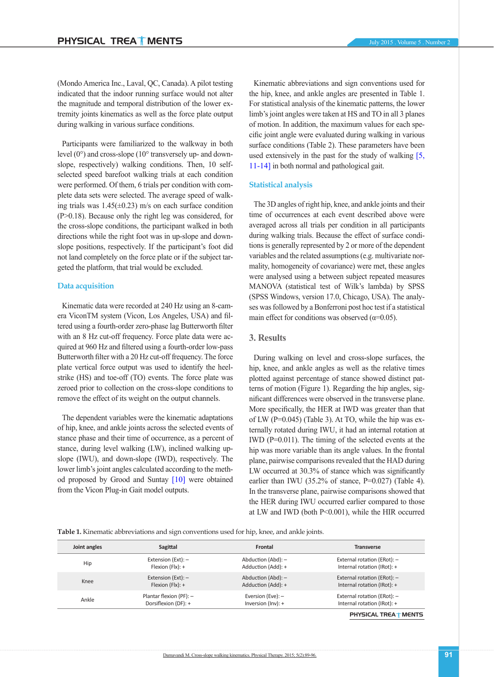Participants were familiarized to the walkway in both level (0°) and cross-slope (10° transversely up- and downslope, respectively) walking conditions. Then, 10 selfselected speed barefoot walking trials at each condition were performed. Of them, 6 trials per condition with complete data sets were selected. The average speed of walking trials was  $1.45(\pm 0.23)$  m/s on each surface condition (P>0.18). Because only the right leg was considered, for the cross-slope conditions, the participant walked in both directions while the right foot was in up-slope and downslope positions, respectively. If the participant's foot did not land completely on the force plate or if the subject targeted the platform, that trial would be excluded.

#### **Data acquisition**

Kinematic data were recorded at 240 Hz using an 8-camera ViconTM system (Vicon, Los Angeles, USA) and filtered using a fourth-order zero-phase lag Butterworth filter with an 8 Hz cut-off frequency. Force plate data were acquired at 960 Hz and filtered using a fourth-order low-pass Butterworth filter with a 20 Hz cut-off frequency. The force plate vertical force output was used to identify the heelstrike (HS) and toe-off (TO) events. The force plate was zeroed prior to collection on the cross-slope conditions to remove the effect of its weight on the output channels.

The dependent variables were the kinematic adaptations of hip, knee, and ankle joints across the selected events of stance phase and their time of occurrence, as a percent of stance, during level walking (LW), inclined walking upslope (IWU), and down-slope (IWD), respectively. The lower limb's joint angles calculated according to the meth-od proposed by Grood and Suntay [\[10\]](#page-6-6) were obtained from the Vicon Plug-in Gait model outputs.

Kinematic abbreviations and sign conventions used for the hip, knee, and ankle angles are presented in Table 1. For statistical analysis of the kinematic patterns, the lower limb's joint angles were taken at HS and TO in all 3 planes of motion. In addition, the maximum values for each specific joint angle were evaluated during walking in various surface conditions (Table 2). These parameters have been used extensively in the past for the study of walking [\[5,](#page-6-3) [11-14\]](#page-6-7) in both normal and pathological gait.

#### **Statistical analysis**

The 3D angles of right hip, knee, and ankle joints and their time of occurrences at each event described above were averaged across all trials per condition in all participants during walking trials. Because the effect of surface conditions is generally represented by 2 or more of the dependent variables and the related assumptions (e.g. multivariate normality, homogeneity of covariance) were met, these angles were analysed using a between subject repeated measures MANOVA (statistical test of Wilk's lambda) by SPSS (SPSS Windows, version 17.0, Chicago, USA). The analyses was followed by a Bonferroni post hoc test if a statistical main effect for conditions was observed  $(\alpha=0.05)$ .

#### **3. Results**

During walking on level and cross-slope surfaces, the hip, knee, and ankle angles as well as the relative times plotted against percentage of stance showed distinct patterns of motion (Figure 1). Regarding the hip angles, significant differences were observed in the transverse plane. More specifically, the HER at IWD was greater than that of LW (P=0.045) (Table 3). At TO, while the hip was externally rotated during IWU, it had an internal rotation at IWD (P=0.011). The timing of the selected events at the hip was more variable than its angle values. In the frontal plane, pairwise comparisons revealed that the HAD during LW occurred at 30.3% of stance which was significantly earlier than IWU (35.2% of stance,  $P=0.027$ ) (Table 4). In the transverse plane, pairwise comparisons showed that the HER during IWU occurred earlier compared to those at LW and IWD (both P<0.001), while the HIR occurred

**Table 1.** Kinematic abbreviations and sign conventions used for hip, knee, and ankle joints.

| Joint angles | Sagittal                  | Frontal               | <b>Transverse</b>           |  |  |
|--------------|---------------------------|-----------------------|-----------------------------|--|--|
| Hip          | Extension (Ext): -        | Abduction (Abd): -    | External rotation (ERot): - |  |  |
|              | Flexion $(F1x): +$        | Adduction (Add): +    | Internal rotation (IRot): + |  |  |
| Knee         | Extension (Ext): -        | Abduction (Abd): -    | External rotation (ERot): - |  |  |
|              | Flexion $(F1x): +$        | Adduction (Add): +    | Internal rotation (IRot): + |  |  |
| Ankle        | Plantar flexion (PF): $-$ | Eversion (Eve): -     | External rotation (ERot): - |  |  |
|              | Dorsiflexion (DF): +      | Inversion $(lnv)$ : + | Internal rotation (IRot): + |  |  |
|              |                           |                       | ---------------------       |  |  |

PHYSICAL TREA **MENTS**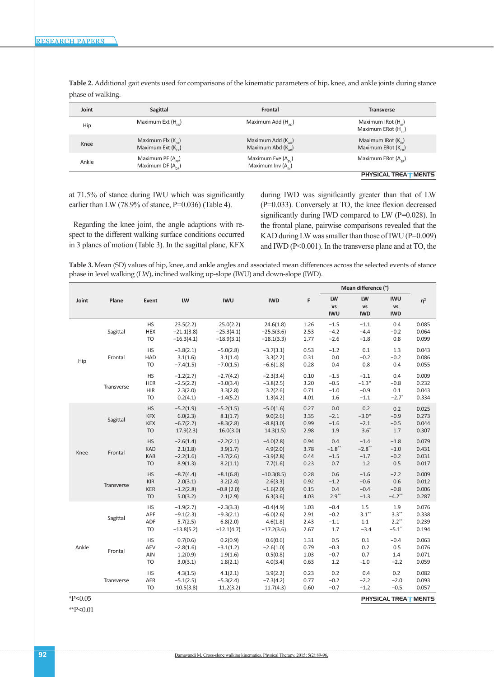| Joint | Sagittal                                               | Frontal                                               | <b>Transverse</b>                                                  |
|-------|--------------------------------------------------------|-------------------------------------------------------|--------------------------------------------------------------------|
| Hip   | Maximum Ext $(H_{\sim})$                               | Maximum Add (H.,)                                     | Maximum IRot (H <sub>10</sub> )<br>Maximum ERot (H <sub>rn</sub> ) |
| Knee  | Maximum Flx $(K_{\sim})$<br>Maximum Ext $(K_{\rm ev})$ | Maximum Add $(K_{\alpha}$ )<br>Maximum Abd $(K_{ss})$ | Maximum IRot $(K_{\alpha})$<br>Maximum ERot $(K_{co})$             |
| Ankle | Maximum PF $(A_{cr})$<br>Maximum DF $(A_{cr})$         | Maximum Eve $(A_{n})$<br>Maximum Inv (A)              | Maximum ERot $(A_{n})$                                             |
|       |                                                        |                                                       | PHYSICAL TREA TMENTS                                               |

**Table 2.** Additional gait events used for comparisons of the kinematic parameters of hip, knee, and ankle joints during stance phase of walking.

at 71.5% of stance during IWU which was significantly earlier than LW (78.9% of stance, P=0.036) (Table 4).

Regarding the knee joint, the angle adaptions with respect to the different walking surface conditions occurred in 3 planes of motion (Table 3). In the sagittal plane, KFX during IWD was significantly greater than that of LW (P=0.033). Conversely at TO, the knee flexion decreased significantly during IWD compared to LW (P=0.028). In the frontal plane, pairwise comparisons revealed that the KAD during LW was smaller than those of IWU (P=0.009) and IWD (P<0.001). In the transverse plane and at TO, the

**Table 3.** Mean (SD) values of hip, knee, and ankle angles and associated mean differences across the selected events of stance phase in level walking (LW), inclined walking up-slope (IWU) and down-slope (IWD).

|           | Plane                       | Event                                                  | LW                                                     | <b>IWU</b>                                             | <b>IWD</b>                                             | F                            | Mean difference (°)                 |                                       |                                                |                                  |
|-----------|-----------------------------|--------------------------------------------------------|--------------------------------------------------------|--------------------------------------------------------|--------------------------------------------------------|------------------------------|-------------------------------------|---------------------------------------|------------------------------------------------|----------------------------------|
| Joint     |                             |                                                        |                                                        |                                                        |                                                        |                              | LW<br>VS<br><b>IWU</b>              | LW<br>VS<br><b>IWD</b>                | <b>IWU</b><br>VS<br><b>IWD</b>                 | $\eta^2$                         |
| Hip       | Sagittal                    | <b>HS</b><br><b>HEX</b><br><b>TO</b>                   | 23.5(2.2)<br>$-21.1(3.8)$<br>$-16.3(4.1)$              | 25.0(2.2)<br>$-25.3(4.1)$<br>$-18.9(3.1)$              | 24.6(1.8)<br>$-25.5(3.6)$<br>$-18.1(3.3)$              | 1.26<br>2.53<br>1.77         | $-1.5$<br>$-4.2$<br>$-2.6$          | $-1.1$<br>$-4.4$<br>$-1.8$            | 0.4<br>$-0.2$<br>0.8                           | 0.085<br>0.064<br>0.099          |
|           | Frontal                     | <b>HS</b><br>HAD<br><b>TO</b>                          | $-3.8(2.1)$<br>3.1(1.6)<br>$-7.4(1.5)$                 | $-5.0(2.8)$<br>3.1(1.4)<br>$-7.0(1.5)$                 | $-3.7(3.1)$<br>3.3(2.2)<br>$-6.6(1.8)$                 | 0.53<br>0.31<br>0.28         | $-1.2$<br>0.0<br>0.4                | 0.1<br>$-0.2$<br>0.8                  | 1.3<br>$-0.2$<br>0.4                           | 0.043<br>0.086<br>0.055          |
|           | Transverse                  | HS<br>HER<br><b>HIR</b><br><b>TO</b>                   | $-1.2(2.7)$<br>$-2.5(2.2)$<br>2.3(2.0)<br>0.2(4.1)     | $-2.7(4.2)$<br>$-3.0(3.4)$<br>3.3(2.8)<br>$-1.4(5.2)$  | $-2.3(3.4)$<br>$-3.8(2.5)$<br>3.2(2.6)<br>1.3(4.2)     | 0.10<br>3.20<br>0.71<br>4.01 | $-1.5$<br>$-0.5$<br>$-1.0$<br>1.6   | $-1.1$<br>$-1.3*$<br>$-0.9$<br>$-1.1$ | 0.4<br>$-0.8$<br>0.1<br>$-2.7$ <sup>*</sup>    | 0.009<br>0.232<br>0.043<br>0.334 |
| Knee      | Sagittal                    | <b>HS</b><br><b>KFX</b><br><b>KEX</b><br><b>TO</b>     | $-5.2(1.9)$<br>6.0(2.3)<br>$-6.7(2.2)$<br>17.9(2.3)    | $-5.2(1.5)$<br>8.1(1.7)<br>$-8.3(2.8)$<br>16.0(3.0)    | $-5.0(1.6)$<br>9.0(2.6)<br>$-8.8(3.0)$<br>14.3(1.5)    | 0.27<br>3.35<br>0.99<br>2.98 | 0.0<br>$-2.1$<br>$-1.6$<br>1.9      | 0.2<br>$-3.0*$<br>$-2.1$<br>$3.6^*$   | 0.2<br>$-0.9$<br>$-0.5$<br>1.7                 | 0.025<br>0.273<br>0.044<br>0.307 |
|           | Frontal                     | <b>HS</b><br><b>KAD</b><br>KAB<br><b>TO</b>            | $-2.6(1.4)$<br>2.1(1.8)<br>$-2.2(1.6)$<br>8.9(1.3)     | $-2.2(2.1)$<br>3.9(1.7)<br>$-3.7(2.6)$<br>8.2(1.1)     | $-4.0(2.8)$<br>4.9(2.0)<br>$-3.9(2.8)$<br>7.7(1.6)     | 0.94<br>3.78<br>0.44<br>0.23 | 0.4<br>$-1.8$ **<br>$-1.5$<br>0.7   | $-1.4$<br>$-2.8$ **<br>$-1.7$<br>1.2  | $-1.8$<br>$-1.0$<br>$-0.2$<br>0.5              | 0.079<br>0.431<br>0.031<br>0.017 |
|           | Transverse                  | <b>HS</b><br>$\mathsf{KIR}$<br><b>KER</b><br><b>TO</b> | $-8.7(4.4)$<br>2.0(3.1)<br>$-1.2(2.8)$<br>5.0(3.2)     | $-8.1(6.8)$<br>3.2(2.4)<br>$-0.8(2.0)$<br>2.1(2.9)     | $-10.3(8.5)$<br>2.6(3.3)<br>$-1.6(2.0)$<br>6.3(3.6)    | 0.28<br>0.92<br>0.15<br>4.03 | 0.6<br>$-1.2$<br>0.4<br>$2.9**$     | $-1.6$<br>$-0.6$<br>$-0.4$<br>$-1.3$  | $-2.2$<br>0.6<br>$-0.8$<br>$-4.2$ **           | 0.009<br>0.012<br>0.006<br>0.287 |
| Ankle     | Sagittal                    | HS<br>APF<br>ADF<br><b>TO</b>                          | $-1.9(2.7)$<br>$-9.1(2.3)$<br>5.7(2.5)<br>$-13.8(5.2)$ | $-2.3(3.3)$<br>$-9.3(2.1)$<br>6.8(2.0)<br>$-12.1(4.7)$ | $-0.4(4.9)$<br>$-6.0(2.6)$<br>4.6(1.8)<br>$-17.2(3.6)$ | 1.03<br>2.91<br>2.43<br>2.67 | $-0.4$<br>$-0.2$<br>$-1.1$<br>$1.7$ | 1.5<br>3.1"<br>$1.1\,$<br>$-3.4$      | 1.9<br>3.3"<br>$2.2$ **<br>$-5.1$ <sup>*</sup> | 0.076<br>0.338<br>0.239<br>0.194 |
|           | Frontal                     | <b>HS</b><br>AEV<br>AIN<br><b>TO</b>                   | 0.7(0.6)<br>$-2.8(1.6)$<br>1.2(0.9)<br>3.0(3.1)        | 0.2(0.9)<br>$-3.1(1.2)$<br>1.9(1.6)<br>1.8(2.1)        | 0.6(0.6)<br>$-2.6(1.0)$<br>0.5(0.8)<br>4.0(3.4)        | 1.31<br>0.79<br>1.03<br>0.63 | 0.5<br>$-0.3$<br>$-0.7$<br>$1.2$    | 0.1<br>0.2<br>0.7<br>$-1.0$           | $-0.4$<br>0.5<br>1.4<br>$-2.2$                 | 0.063<br>0.076<br>0.071<br>0.059 |
|           | Transverse                  | <b>HS</b><br>AER<br>TO                                 | 4.3(1.5)<br>$-5.1(2.5)$<br>10.5(3.8)                   | 4.1(2.1)<br>$-5.3(2.4)$<br>11.2(3.2)                   | 3.9(2.2)<br>$-7.3(4.2)$<br>11.7(4.3)                   | 0.23<br>0.77<br>0.60         | 0.2<br>$-0.2$<br>$-0.7$             | 0.4<br>$-2.2$<br>$-1.2$               | 0.2<br>$-2.0$<br>$-0.5$                        | 0.082<br>0.093<br>0.057          |
| $*P<0.05$ | <b>PHYSICAL TREA TMENTS</b> |                                                        |                                                        |                                                        |                                                        |                              |                                     |                                       |                                                |                                  |

\*P<0.05

\*\*P<0.01

Damavandi M. Cross-slope walking kinematics. Physical Therapy. 2015; 5(2):89-96.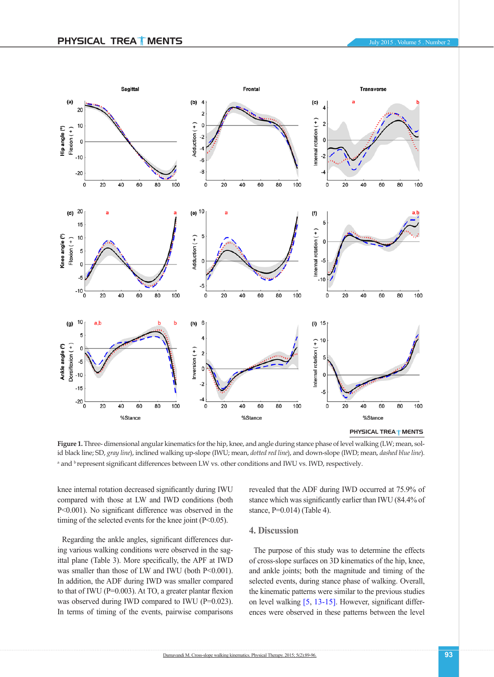

PHYSICAL TREA<sup>T</sup> MENTS

Figure 1. Three- dimensional angular kinematics for the hip, knee, and angle during stance phase of level walking (LW; mean, solid black line; SD, *gray line*), inclined walking up-slope (IWU; mean, *dotted red line*), and down-slope (IWD; mean, *dashed blue line*). a and <sup>b</sup> represent significant differences between LW vs. other conditions and IWU vs. IWD, respectively.

knee internal rotation decreased significantly during IWU compared with those at LW and IWD conditions (both P<0.001). No significant difference was observed in the timing of the selected events for the knee joint (P<0.05).

Regarding the ankle angles, significant differences during various walking conditions were observed in the sagittal plane (Table 3). More specifically, the APF at IWD was smaller than those of LW and IWU (both P<0.001). In addition, the ADF during IWD was smaller compared to that of IWU (P=0.003). At TO, a greater plantar flexion was observed during IWD compared to IWU (P=0.023). In terms of timing of the events, pairwise comparisons revealed that the ADF during IWD occurred at 75.9% of stance which was significantly earlier than IWU (84.4% of stance, P=0.014) (Table 4).

### **4. Discussion**

The purpose of this study was to determine the effects of cross-slope surfaces on 3D kinematics of the hip, knee, and ankle joints; both the magnitude and timing of the selected events, during stance phase of walking. Overall, the kinematic patterns were similar to the previous studies on level walking [\[5](#page-6-3), [13-15\]](#page-7-0). However, significant differences were observed in these patterns between the level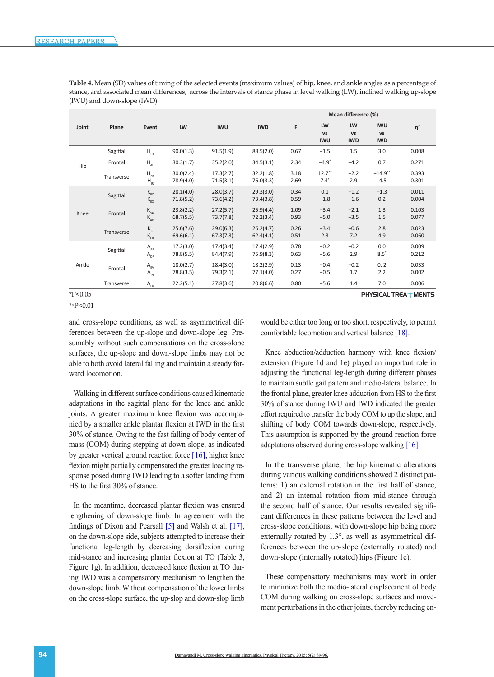|           | Plane      | Event                                                    | LW                     | <b>IWU</b>             | <b>IWD</b>             | F            | Mean difference (%)            |                               |                                       |                             |
|-----------|------------|----------------------------------------------------------|------------------------|------------------------|------------------------|--------------|--------------------------------|-------------------------------|---------------------------------------|-----------------------------|
| Joint     |            |                                                          |                        |                        |                        |              | LW<br><b>VS</b><br><b>IWU</b>  | LW<br><b>VS</b><br><b>IWD</b> | <b>IWU</b><br><b>VS</b><br><b>IWD</b> | $\eta^2$                    |
| Hip       | Sagittal   | $H_{EX}$                                                 | 90.0(1.3)              | 91.5(1.9)              | 88.5(2.0)              | 0.67         | $-1.5$                         | 1.5                           | 3.0                                   | 0.008                       |
|           | Frontal    | $\mathsf{H}_{_{\mathsf{AD}}}$                            | 30.3(1.7)              | 35.2(2.0)              | 34.5(3.1)              | 2.34         | $-4.9"$                        | $-4.2$                        | 0.7                                   | 0.271                       |
|           | Transverse | $\mathsf{H}_{\scriptscriptstyle\mathsf{ER}}$<br>$H_{IR}$ | 30.0(2.4)<br>78.9(4.0) | 17.3(2.7)<br>71.5(3.1) | 32.2(1.8)<br>76.0(3.3) | 3.18<br>2.69 | $12.7$ <sup>**</sup><br>$7.4*$ | $-2.2$<br>2.9                 | $-14.9$ **<br>$-4.5$                  | 0.393<br>0.301              |
| Knee      | Sagittal   | $\mathsf{K}_{\mathsf{FX}}$<br>$\mathsf{K}_{\mathrm{ex}}$ | 28.1(4.0)<br>71.8(5.2) | 28.0(3.7)<br>73.6(4.2) | 29.3(3.0)<br>73.4(3.8) | 0.34<br>0.59 | 0.1<br>$-1.8$                  | $-1.2$<br>$-1.6$              | $-1.3$<br>0.2                         | 0.011<br>0.004              |
|           | Frontal    | $\rm K_{_{AD}}$<br>$\rm K_{_{AB}}$                       | 23.8(2.2)<br>68.7(5.5) | 27.2(5.7)<br>73.7(7.8) | 25.9(4.4)<br>72.2(3.4) | 1.09<br>0.93 | $-3.4$<br>$-5.0$               | $-2.1$<br>$-3.5$              | 1.3<br>1.5                            | 0.103<br>0.077              |
|           | Transverse | $\rm K_{\rm IR}$<br>$\rm K_{_{ER}}$                      | 25.6(7.6)<br>69.6(6.1) | 29.0(6.3)<br>67.3(7.3) | 26.2(4.7)<br>62.4(4.1) | 0.26<br>0.51 | $-3.4$<br>2.3                  | $-0.6$<br>7.2                 | 2.8<br>4.9                            | 0.023<br>0.060              |
| Ankle     | Sagittal   | $A_{\rm{PF}}$<br>$A$ <sub>DF</sub>                       | 17.2(3.0)<br>78.8(5.5) | 17.4(3.4)<br>84.4(7.9) | 17.4(2.9)<br>75.9(8.3) | 0.78<br>0.63 | $-0.2$<br>$-5.6$               | $-0.2$<br>2.9                 | 0.0<br>$8.5^\circ$                    | 0.009<br>0.212              |
|           | Frontal    | $\mathsf{A}_{\mathsf{EV}}$<br>$A_{_{IN}}$                | 18.0(2.7)<br>78.8(3.5) | 18.4(3.0)<br>79.3(2.1) | 18.2(2.9)<br>77.1(4.0) | 0.13<br>0.27 | $-0.4$<br>$-0.5$               | $-0.2$<br>1.7                 | 0.2<br>2.2                            | 0.033<br>0.002              |
|           | Transverse | $A_{ER}$                                                 | 22.2(5.1)              | 27.8(3.6)              | 20.8(6.6)              | 0.80         | $-5.6$                         | 1.4                           | 7.0                                   | 0.006                       |
| $*P<0.05$ |            |                                                          |                        |                        |                        |              |                                |                               |                                       | <b>PHYSICAL TREA TMENTS</b> |

**Table 4.** Mean (SD) values of timing of the selected events (maximum values) of hip, knee, and ankle angles as a percentage of stance, and associated mean differences, across the intervals of stance phase in level walking (LW), inclined walking up-slope (IWU) and down-slope (IWD).

\*P<0.05 \*\*P<0.01

and cross-slope conditions, as well as asymmetrical differences between the up-slope and down-slope leg. Presumably without such compensations on the cross-slope surfaces, the up-slope and down-slope limbs may not be able to both avoid lateral falling and maintain a steady forward locomotion.

Walking in different surface conditions caused kinematic adaptations in the sagittal plane for the knee and ankle joints. A greater maximum knee flexion was accompanied by a smaller ankle plantar flexion at IWD in the first 30% of stance. Owing to the fast falling of body center of mass (COM) during stepping at down-slope, as indicated by greater vertical ground reaction force [\[16\],](#page-7-1) higher knee flexion might partially compensated the greater loading response posed during IWD leading to a softer landing from HS to the first 30% of stance.

In the meantime, decreased plantar flexion was ensured lengthening of down-slope limb. In agreement with the findings of Dixon and Pearsall  $\begin{bmatrix} 5 \end{bmatrix}$  and Walsh et al.  $\begin{bmatrix} 17 \end{bmatrix}$ , on the down-slope side, subjects attempted to increase their functional leg-length by decreasing dorsiflexion during mid-stance and increasing plantar flexion at TO (Table 3, Figure 1g). In addition, decreased knee flexion at TO during IWD was a compensatory mechanism to lengthen the down-slope limb. Without compensation of the lower limbs on the cross-slope surface, the up-slop and down-slop limb would be either too long or too short, respectively, to permit

Knee abduction/adduction harmony with knee flexion/ extension (Figure 1d and 1e) played an important role in adjusting the functional leg-length during different phases to maintain subtle gait pattern and medio-lateral balance. In the frontal plane, greater knee adduction from HS to the first 30% of stance during IWU and IWD indicated the greater effort required to transfer the body COM to up the slope, and shifting of body COM towards down-slope, respectively. This assumption is supported by the ground reaction force adaptations observed during cross-slope walking [\[16\]](#page-7-1).

comfortable locomotion and vertical balance [\[18\].](#page-7-3)

In the transverse plane, the hip kinematic alterations during various walking conditions showed 2 distinct patterns: 1) an external rotation in the first half of stance, and 2) an internal rotation from mid-stance through the second half of stance. Our results revealed significant differences in these patterns between the level and cross-slope conditions, with down-slope hip being more externally rotated by 1.3°, as well as asymmetrical differences between the up-slope (externally rotated) and down-slope (internally rotated) hips (Figure 1c).

These compensatory mechanisms may work in order to minimize both the medio-lateral displacement of body COM during walking on cross-slope surfaces and movement perturbations in the other joints, thereby reducing en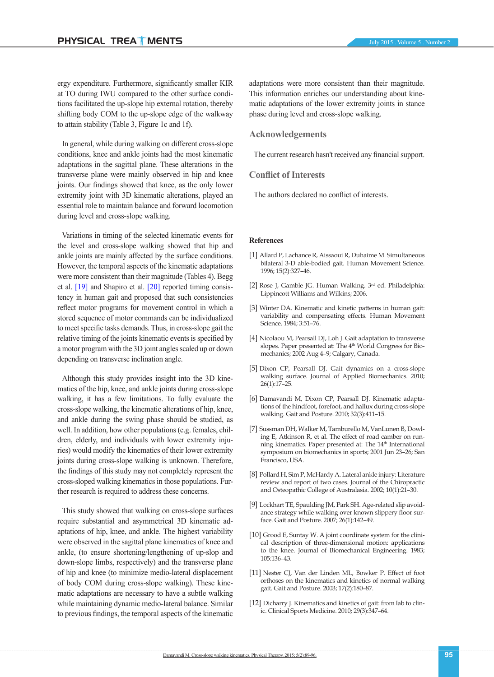ergy expenditure. Furthermore, significantly smaller KIR at TO during IWU compared to the other surface conditions facilitated the up-slope hip external rotation, thereby shifting body COM to the up-slope edge of the walkway to attain stability (Table 3, Figure 1c and 1f).

In general, while during walking on different cross-slope conditions, knee and ankle joints had the most kinematic adaptations in the sagittal plane. These alterations in the transverse plane were mainly observed in hip and knee joints. Our findings showed that knee, as the only lower extremity joint with 3D kinematic alterations, played an essential role to maintain balance and forward locomotion during level and cross-slope walking.

Variations in timing of the selected kinematic events for the level and cross-slope walking showed that hip and ankle joints are mainly affected by the surface conditions. However, the temporal aspects of the kinematic adaptations were more consistent than their magnitude (Tables 4). Begg et al. [\[19\]](#page-7-4) and Shapiro et al. [\[20\]](#page-7-5) reported timing consistency in human gait and proposed that such consistencies reflect motor programs for movement control in which a stored sequence of motor commands can be individualized to meet specific tasks demands. Thus, in cross-slope gait the relative timing of the joints kinematic events is specified by a motor program with the 3D joint angles scaled up or down depending on transverse inclination angle.

Although this study provides insight into the 3D kinematics of the hip, knee, and ankle joints during cross-slope walking, it has a few limitations. To fully evaluate the cross-slope walking, the kinematic alterations of hip, knee, and ankle during the swing phase should be studied, as well. In addition, how other populations (e.g. females, children, elderly, and individuals with lower extremity injuries) would modify the kinematics of their lower extremity joints during cross-slope walking is unknown. Therefore, the findings of this study may not completely represent the cross-sloped walking kinematics in those populations. Further research is required to address these concerns.

This study showed that walking on cross-slope surfaces require substantial and asymmetrical 3D kinematic adaptations of hip, knee, and ankle. The highest variability were observed in the sagittal plane kinematics of knee and ankle, (to ensure shortening/lengthening of up-slop and down-slope limbs, respectively) and the transverse plane of hip and knee (to minimize medio-lateral displacement of body COM during cross-slope walking). These kinematic adaptations are necessary to have a subtle walking while maintaining dynamic medio-lateral balance. Similar to previous findings, the temporal aspects of the kinematic adaptations were more consistent than their magnitude. This information enriches our understanding about kinematic adaptations of the lower extremity joints in stance phase during level and cross-slope walking.

### **Acknowledgements**

The current research hasn't received any financial support.

## **Conflict of Interests**

The authors declared no conflict of interests.

#### **References**

- <span id="page-6-0"></span>[1] Allard P, Lachance R, Aissaoui R, Duhaime M. Simultaneous bilateral 3-D able-bodied gait. Human Movement Science. 1996; 15(2):327–46.
- [2] Rose J, Gamble JG. Human Walking. 3rd ed. Philadelphia: Lippincott Williams and Wilkins; 2006.
- [3] Winter DA. Kinematic and kinetic patterns in human gait: variability and compensating effects. Human Movement Science. 1984; 3:51–76.
- <span id="page-6-1"></span>[4] Nicolaou M, Pearsall DJ, Loh J. Gait adaptation to transverse slopes. Paper presented at: The 4<sup>th</sup> World Congress for Biomechanics; 2002 Aug 4–9; Calgary, Canada.
- <span id="page-6-3"></span>[5] Dixon CP, Pearsall DJ. Gait dynamics on a cross-slope walking surface. Journal of Applied Biomechanics. 2010; 26(1):17–25.
- [6] Damavandi M, Dixon CP, Pearsall DJ. Kinematic adaptations of the hindfoot, forefoot, and hallux during cross-slope walking. Gait and Posture. 2010; 32(3):411–15.
- <span id="page-6-2"></span>[7] Sussman DH, Walker M, Tamburello M, VanLunen B, Dowling E, Atkinson R, et al. The effect of road camber on running kinematics. Paper presented at: The 14<sup>th</sup> International symposium on biomechanics in sports; 2001 Jun 23–26; San Francisco, USA.
- <span id="page-6-4"></span>[8] Pollard H, Sim P, McHardy A. Lateral ankle injury: Literature review and report of two cases. Journal of the Chiropractic and Osteopathic College of Australasia. 2002; 10(1):21–30.
- <span id="page-6-5"></span>[9] Lockhart TE, Spaulding JM, Park SH. Age-related slip avoidance strategy while walking over known slippery floor surface. Gait and Posture. 2007; 26(1):142–49.
- <span id="page-6-6"></span>[10] Grood E, Suntay W. A joint coordinate system for the clinical description of three-dimensional motion: applications to the knee. Journal of Biomechanical Engineering. 1983; 105:136–43.
- <span id="page-6-7"></span>[11] Nester CJ, Van der Linden ML, Bowker P. Effect of foot orthoses on the kinematics and kinetics of normal walking gait. Gait and Posture. 2003; 17(2):180–87.
- [12] Dicharry J. Kinematics and kinetics of gait: from lab to clinic. Clinical Sports Medicine. 2010; 29(3):347–64.